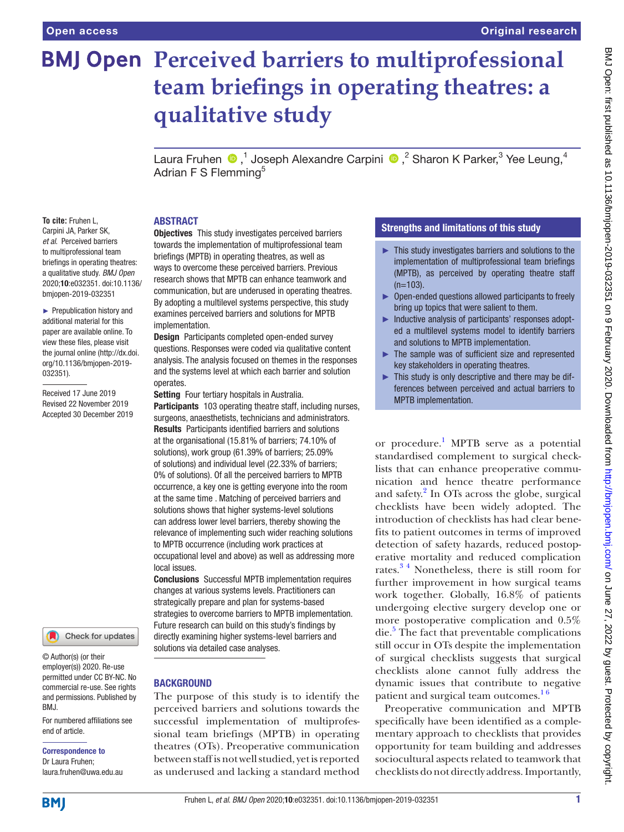# **BMJ Open Perceived barriers to multiprofessional team briefings in operating theatres: a qualitative study**

Laura Fruhen  $\bigcirc$ ,<sup>1</sup> Joseph Alexandre Carpini  $\bigcirc$ ,<sup>2</sup> Sharon K Parker,<sup>3</sup> Yee Leung,<sup>4</sup> Adrian F S Flemming<sup>5</sup>

#### **ABSTRACT**

**To cite:** Fruhen L, Carpini JA, Parker SK, *et al*. Perceived barriers to multiprofessional team briefings in operating theatres: a qualitative study. *BMJ Open* 2020;10:e032351. doi:10.1136/ bmjopen-2019-032351

► Prepublication history and additional material for this paper are available online. To view these files, please visit the journal online (http://dx.doi. org/10.1136/bmjopen-2019- 032351).

Received 17 June 2019 Revised 22 November 2019 Accepted 30 December 2019



© Author(s) (or their employer(s)) 2020. Re-use permitted under CC BY-NC. No commercial re-use. See rights and permissions. Published by BMJ.

For numbered affiliations see end of article.

Correspondence to Dr Laura Fruhen;

laura.fruhen@uwa.edu.au

**Objectives** This study investigates perceived barriers towards the implementation of multiprofessional team briefings (MPTB) in operating theatres, as well as ways to overcome these perceived barriers. Previous research shows that MPTB can enhance teamwork and communication, but are underused in operating theatres. By adopting a multilevel systems perspective, this study examines perceived barriers and solutions for MPTB implementation.

Design Participants completed open-ended survey questions. Responses were coded via qualitative content analysis. The analysis focused on themes in the responses and the systems level at which each barrier and solution operates.

Setting Four tertiary hospitals in Australia. Participants 103 operating theatre staff, including nurses, surgeons, anaesthetists, technicians and administrators.

Results Participants identified barriers and solutions at the organisational (15.81% of barriers; 74.10% of solutions), work group (61.39% of barriers; 25.09% of solutions) and individual level (22.33% of barriers; 0% of solutions). Of all the perceived barriers to MPTB occurrence, a key one is getting everyone into the room at the same time . Matching of perceived barriers and solutions shows that higher systems-level solutions can address lower level barriers, thereby showing the relevance of implementing such wider reaching solutions to MPTB occurrence (including work practices at occupational level and above) as well as addressing more local issues.

Conclusions Successful MPTB implementation requires changes at various systems levels. Practitioners can strategically prepare and plan for systems-based strategies to overcome barriers to MPTB implementation. Future research can build on this study's findings by directly examining higher systems-level barriers and solutions via detailed case analyses.

# **BACKGROUND**

The purpose of this study is to identify the perceived barriers and solutions towards the successful implementation of multiprofessional team briefings (MPTB) in operating theatres (OTs). Preoperative communication between staff is not well studied, yet is reported as underused and lacking a standard method

# Strengths and limitations of this study

- ► This study investigates barriers and solutions to the implementation of multiprofessional team briefings (MPTB), as perceived by operating theatre staff  $(n=103)$ .
- ► Open-ended questions allowed participants to freely bring up topics that were salient to them.
- ► Inductive analysis of participants' responses adopted a multilevel systems model to identify barriers and solutions to MPTB implementation.
- The sample was of sufficient size and represented key stakeholders in operating theatres.
- $\blacktriangleright$  This study is only descriptive and there may be differences between perceived and actual barriers to MPTB implementation.

or procedure.<sup>[1](#page-6-0)</sup> MPTB serve as a potential standardised complement to surgical checklists that can enhance preoperative communication and hence theatre performance and safety.<sup>[2](#page-6-1)</sup> In OTs across the globe, surgical checklists have been widely adopted. The introduction of checklists has had clear benefits to patient outcomes in terms of improved detection of safety hazards, reduced postoperative mortality and reduced complication rates.<sup>34</sup> Nonetheless, there is still room for further improvement in how surgical teams work together. Globally, 16.8% of patients undergoing elective surgery develop one or more postoperative complication and 0.5% die.<sup>[5](#page-6-3)</sup> The fact that preventable complications still occur in OTs despite the implementation of surgical checklists suggests that surgical checklists alone cannot fully address the dynamic issues that contribute to negative patient and surgical team outcomes.<sup>16</sup>

Preoperative communication and MPTB specifically have been identified as a complementary approach to checklists that provides opportunity for team building and addresses sociocultural aspects related to teamwork that checklists do not directly address. Importantly,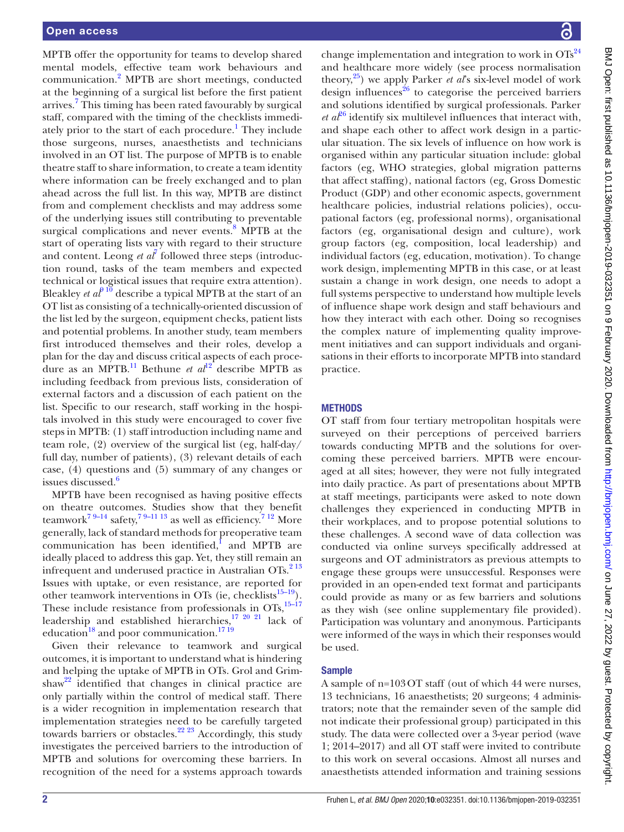MPTB offer the opportunity for teams to develop shared mental models, effective team work behaviours and communication[.2](#page-6-1) MPTB are short meetings, conducted at the beginning of a surgical list before the first patient arrives.<sup>[7](#page-6-4)</sup> This timing has been rated favourably by surgical staff, compared with the timing of the checklists immedi-ately prior to the start of each procedure.<sup>[1](#page-6-0)</sup> They include those surgeons, nurses, anaesthetists and technicians involved in an OT list. The purpose of MPTB is to enable theatre staff to share information, to create a team identity where information can be freely exchanged and to plan ahead across the full list. In this way, MPTB are distinct from and complement checklists and may address some of the underlying issues still contributing to preventable surgical complications and never events.<sup>[8](#page-6-5)</sup> MPTB at the start of operating lists vary with regard to their structure and content. Leong *et al<sup>[7](#page-6-4)</sup>* followed three steps (introduction round, tasks of the team members and expected technical or logistical issues that require extra attention). Bleakley *et al*<sup>9 10</sup> describe a typical MPTB at the start of an OT list as consisting of a technically-oriented discussion of the list led by the surgeon, equipment checks, patient lists and potential problems. In another study, team members first introduced themselves and their roles, develop a plan for the day and discuss critical aspects of each procedure as an MPTB[.11](#page-6-7) Bethune *et al*[12](#page-6-8) describe MPTB as including feedback from previous lists, consideration of external factors and a discussion of each patient on the list. Specific to our research, staff working in the hospitals involved in this study were encouraged to cover five steps in MPTB: (1) staff introduction including name and team role, (2) overview of the surgical list (eg, half-day/ full day, number of patients), (3) relevant details of each case, (4) questions and (5) summary of any changes or issues discussed.<sup>[6](#page-6-9)</sup>

MPTB have been recognised as having positive effects on theatre outcomes. Studies show that they benefit teamwork<sup>7 9–14</sup> safety,<sup>7 9–11 13</sup> as well as efficiency.<sup>7 12</sup> More generally, lack of standard methods for preoperative team communication has been identified, and MPTB are ideally placed to address this gap. Yet, they still remain an infrequent and underused practice in Australian OTs. $2^{13}$ Issues with uptake, or even resistance, are reported for other teamwork interventions in OTs (ie, checklists $15-19$ ). These include resistance from professionals in OTs, $15-17$ leadership and established hierarchies,<sup>17 20</sup> <sup>21</sup> lack of education $18$  and poor communication. $1719$ 

Given their relevance to teamwork and surgical outcomes, it is important to understand what is hindering and helping the uptake of MPTB in OTs. Grol and Grimshaw<sup>22</sup> identified that changes in clinical practice are only partially within the control of medical staff. There is a wider recognition in implementation research that implementation strategies need to be carefully targeted towards barriers or obstacles.<sup>22 23</sup> Accordingly, this study investigates the perceived barriers to the introduction of MPTB and solutions for overcoming these barriers. In recognition of the need for a systems approach towards

change implementation and integration to work in  $OTs^{24}$  $OTs^{24}$  $OTs^{24}$ and healthcare more widely (see process normalisation theory,[25\)](#page-6-15) we apply Parker *et al*'s six-level model of work design influences $^{26}$  to categorise the perceived barriers and solutions identified by surgical professionals. Parker *et*  $a\ell^{6}$  identify six multilevel influences that interact with, and shape each other to affect work design in a particular situation. The six levels of influence on how work is organised within any particular situation include: global factors (eg, WHO strategies, global migration patterns that affect staffing), national factors (eg, Gross Domestic Product (GDP) and other economic aspects, government healthcare policies, industrial relations policies), occupational factors (eg, professional norms), organisational factors (eg, organisational design and culture), work group factors (eg, composition, local leadership) and individual factors (eg, education, motivation). To change work design, implementing MPTB in this case, or at least sustain a change in work design, one needs to adopt a full systems perspective to understand how multiple levels of influence shape work design and staff behaviours and how they interact with each other. Doing so recognises the complex nature of implementing quality improvement initiatives and can support individuals and organisations in their efforts to incorporate MPTB into standard practice.

# **METHODS**

OT staff from four tertiary metropolitan hospitals were surveyed on their perceptions of perceived barriers towards conducting MPTB and the solutions for overcoming these perceived barriers. MPTB were encouraged at all sites; however, they were not fully integrated into daily practice. As part of presentations about MPTB at staff meetings, participants were asked to note down challenges they experienced in conducting MPTB in their workplaces, and to propose potential solutions to these challenges. A second wave of data collection was conducted via online surveys specifically addressed at surgeons and OT administrators as previous attempts to engage these groups were unsuccessful. Responses were provided in an open-ended text format and participants could provide as many or as few barriers and solutions as they wish (see [online supplementary file](https://dx.doi.org/10.1136/bmjopen-2019-032351) provided). Participation was voluntary and anonymous. Participants were informed of the ways in which their responses would be used.

## **Sample**

A sample of n=103OT staff (out of which 44 were nurses, 13 technicians, 16 anaesthetists; 20 surgeons; 4 administrators; note that the remainder seven of the sample did not indicate their professional group) participated in this study. The data were collected over a 3-year period (wave 1; 2014–2017) and all OT staff were invited to contribute to this work on several occasions. Almost all nurses and anaesthetists attended information and training sessions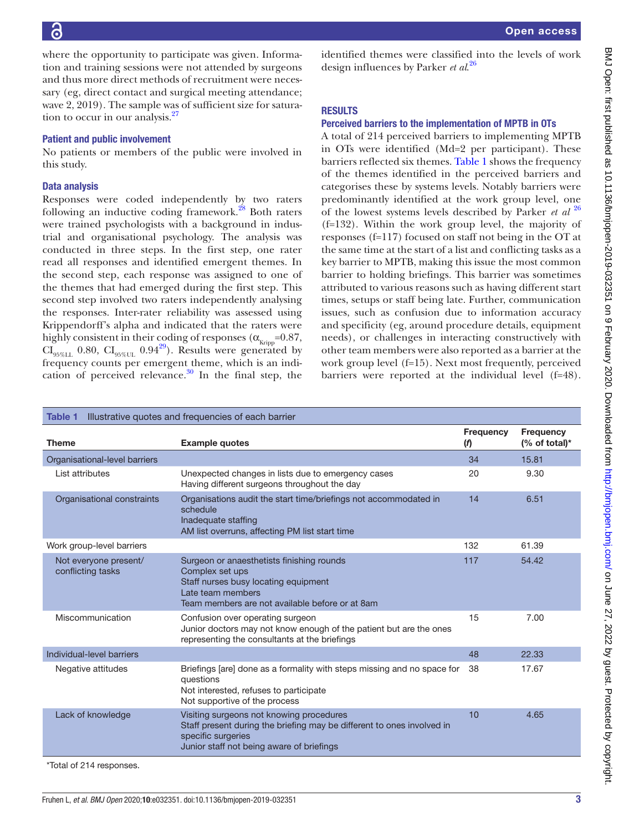BMJ Open: first published as 10.1136/bmjopen-2019-032351 on 9 February 2020. Downloaded from http://bmjopen.bmj.com/ on June 27, 2022 by guest. Protected by copyright. BMJ Open: first published as 10.1136/bmjopen-2019-030351 on 9 February 2020. Downloaded from <http://bmjopen.bmj.com/> on June 27, 2022 by guest. Protected by copyright.

where the opportunity to participate was given. Information and training sessions were not attended by surgeons and thus more direct methods of recruitment were necessary (eg, direct contact and surgical meeting attendance; wave 2, 2019). The sample was of sufficient size for saturation to occur in our analysis. $27$ 

# Patient and public involvement

No patients or members of the public were involved in this study.

## Data analysis

Responses were coded independently by two raters following an inductive coding framework. $^{28}$  $^{28}$  $^{28}$  Both raters were trained psychologists with a background in industrial and organisational psychology. The analysis was conducted in three steps. In the first step, one rater read all responses and identified emergent themes. In the second step, each response was assigned to one of the themes that had emerged during the first step. This second step involved two raters independently analysing the responses. Inter-rater reliability was assessed using Krippendorff's alpha and indicated that the raters were highly consistent in their coding of responses ( $\alpha_{\text{Kripo}}$ =0.87,  $CI_{95\%LL}$  0.80,  $CI_{95\%UL}$  0.94<sup>29</sup>). Results were generated by frequency counts per emergent theme, which is an indication of perceived relevance. $30$  In the final step, the

identified themes were classified into the levels of work design influences by Parker *et al*. [26](#page-6-16)

# **RESULTS**

## Perceived barriers to the implementation of MPTB in OTs

A total of 214 perceived barriers to implementing MPTB in OTs were identified (Md=2 per participant). These barriers reflected six themes. [Table](#page-2-0) 1 shows the frequency of the themes identified in the perceived barriers and categorises these by systems levels. Notably barriers were predominantly identified at the work group level, one of the lowest systems levels described by Parker *et al* [26](#page-6-16) (f=132). Within the work group level, the majority of responses (f=117) focused on staff not being in the OT at the same time at the start of a list and conflicting tasks as a key barrier to MPTB, making this issue the most common barrier to holding briefings. This barrier was sometimes attributed to various reasons such as having different start times, setups or staff being late. Further, communication issues, such as confusion due to information accuracy and specificity (eg, around procedure details, equipment needs), or challenges in interacting constructively with other team members were also reported as a barrier at the work group level (f=15). Next most frequently, perceived barriers were reported at the individual level (f=48).

<span id="page-2-0"></span>

| Illustrative quotes and frequencies of each barrier<br><b>Table 1</b> |                                                                                                                                                                                       |                  |                                   |  |  |
|-----------------------------------------------------------------------|---------------------------------------------------------------------------------------------------------------------------------------------------------------------------------------|------------------|-----------------------------------|--|--|
| <b>Theme</b>                                                          | <b>Example quotes</b>                                                                                                                                                                 | Frequency<br>(f) | <b>Frequency</b><br>(% of total)* |  |  |
| Organisational-level barriers                                         |                                                                                                                                                                                       | 34               | 15.81                             |  |  |
| List attributes                                                       | Unexpected changes in lists due to emergency cases<br>Having different surgeons throughout the day                                                                                    | 20               | 9.30                              |  |  |
| Organisational constraints                                            | Organisations audit the start time/briefings not accommodated in<br>schedule<br>Inadequate staffing<br>AM list overruns, affecting PM list start time                                 | 14               | 6.51                              |  |  |
| Work group-level barriers                                             |                                                                                                                                                                                       | 132              | 61.39                             |  |  |
| Not everyone present/<br>conflicting tasks                            | Surgeon or anaesthetists finishing rounds<br>Complex set ups<br>Staff nurses busy locating equipment<br>Late team members<br>Team members are not available before or at 8am          | 117              | 54.42                             |  |  |
| Miscommunication                                                      | Confusion over operating surgeon<br>Junior doctors may not know enough of the patient but are the ones<br>representing the consultants at the briefings                               | 15               | 7.00                              |  |  |
| Individual-level barriers                                             |                                                                                                                                                                                       | 48               | 22.33                             |  |  |
| Negative attitudes                                                    | Briefings [are] done as a formality with steps missing and no space for<br>questions<br>Not interested, refuses to participate<br>Not supportive of the process                       | 38               | 17.67                             |  |  |
| Lack of knowledge                                                     | Visiting surgeons not knowing procedures<br>Staff present during the briefing may be different to ones involved in<br>specific surgeries<br>Junior staff not being aware of briefings | 10               | 4.65                              |  |  |
| *Total of 214 responses.                                              |                                                                                                                                                                                       |                  |                                   |  |  |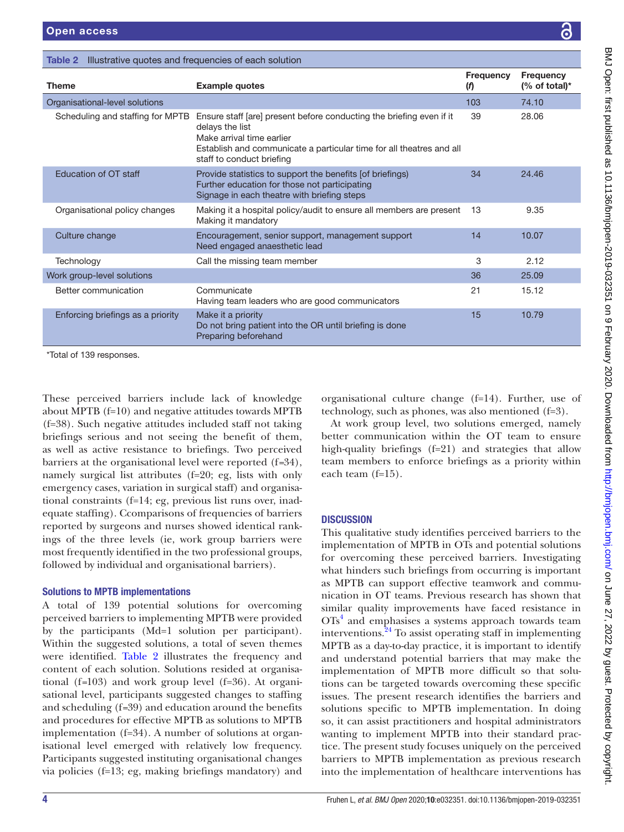<span id="page-3-0"></span>

| Illustrative quotes and frequencies of each solution<br>Table 2 |                                                                                                                                                                                                                           |                         |                                    |  |  |
|-----------------------------------------------------------------|---------------------------------------------------------------------------------------------------------------------------------------------------------------------------------------------------------------------------|-------------------------|------------------------------------|--|--|
| <b>Theme</b>                                                    | <b>Example quotes</b>                                                                                                                                                                                                     | <b>Frequency</b><br>(f) | <b>Frequency</b><br>$%$ of total)* |  |  |
| Organisational-level solutions                                  |                                                                                                                                                                                                                           | 103                     | 74.10                              |  |  |
| Scheduling and staffing for MPTB                                | Ensure staff [are] present before conducting the briefing even if it<br>delays the list<br>Make arrival time earlier<br>Establish and communicate a particular time for all theatres and all<br>staff to conduct briefing | 39                      | 28.06                              |  |  |
| <b>Education of OT staff</b>                                    | Provide statistics to support the benefits [of briefings]<br>Further education for those not participating<br>Signage in each theatre with briefing steps                                                                 | 34                      | 24.46                              |  |  |
| Organisational policy changes                                   | Making it a hospital policy/audit to ensure all members are present<br>Making it mandatory                                                                                                                                | 13                      | 9.35                               |  |  |
| Culture change                                                  | Encouragement, senior support, management support<br>Need engaged anaesthetic lead                                                                                                                                        | 14                      | 10.07                              |  |  |
| Technology                                                      | Call the missing team member                                                                                                                                                                                              | 3                       | 2.12                               |  |  |
| Work group-level solutions                                      |                                                                                                                                                                                                                           | 36                      | 25.09                              |  |  |
| Better communication                                            | Communicate<br>Having team leaders who are good communicators                                                                                                                                                             | 21                      | 15.12                              |  |  |
| Enforcing briefings as a priority                               | Make it a priority<br>Do not bring patient into the OR until briefing is done<br>Preparing beforehand                                                                                                                     | 15                      | 10.79                              |  |  |
| *Total of 139 responses.                                        |                                                                                                                                                                                                                           |                         |                                    |  |  |

These perceived barriers include lack of knowledge about MPTB (f=10) and negative attitudes towards MPTB (f=38). Such negative attitudes included staff not taking briefings serious and not seeing the benefit of them, as well as active resistance to briefings. Two perceived barriers at the organisational level were reported (f*=*34), namely surgical list attributes (f=20; eg, lists with only emergency cases, variation in surgical staff) and organisational constraints (f=14; eg, previous list runs over, inadequate staffing). Ccomparisons of frequencies of barriers reported by surgeons and nurses showed identical rankings of the three levels (ie, work group barriers were most frequently identified in the two professional groups, followed by individual and organisational barriers).

# Solutions to MPTB implementations

A total of 139 potential solutions for overcoming perceived barriers to implementing MPTB were provided by the participants (Md=1 solution per participant). Within the suggested solutions, a total of seven themes were identified. [Table](#page-3-0) 2 illustrates the frequency and content of each solution. Solutions resided at organisational (f*=*103) and work group level (f=36). At organisational level, participants suggested changes to staffing and scheduling (f*=*39) and education around the benefits and procedures for effective MPTB as solutions to MPTB implementation (f=34). A number of solutions at organisational level emerged with relatively low frequency. Participants suggested instituting organisational changes via policies (f=13; eg, making briefings mandatory) and

organisational culture change (f=14). Further, use of technology, such as phones, was also mentioned (f=3).

At work group level, two solutions emerged, namely better communication within the OT team to ensure high-quality briefings (f=21) and strategies that allow team members to enforce briefings as a priority within each team (f=15).

# **DISCUSSION**

This qualitative study identifies perceived barriers to the implementation of MPTB in OTs and potential solutions for overcoming these perceived barriers. Investigating what hinders such briefings from occurring is important as MPTB can support effective teamwork and communication in OT teams. Previous research has shown that similar quality improvements have faced resistance in OTs<sup>4</sup> and emphasises a systems approach towards team interventions. $^{24}$  $^{24}$  $^{24}$  To assist operating staff in implementing MPTB as a day-to-day practice, it is important to identify and understand potential barriers that may make the implementation of MPTB more difficult so that solutions can be targeted towards overcoming these specific issues. The present research identifies the barriers and solutions specific to MPTB implementation. In doing so, it can assist practitioners and hospital administrators wanting to implement MPTB into their standard practice. The present study focuses uniquely on the perceived barriers to MPTB implementation as previous research into the implementation of healthcare interventions has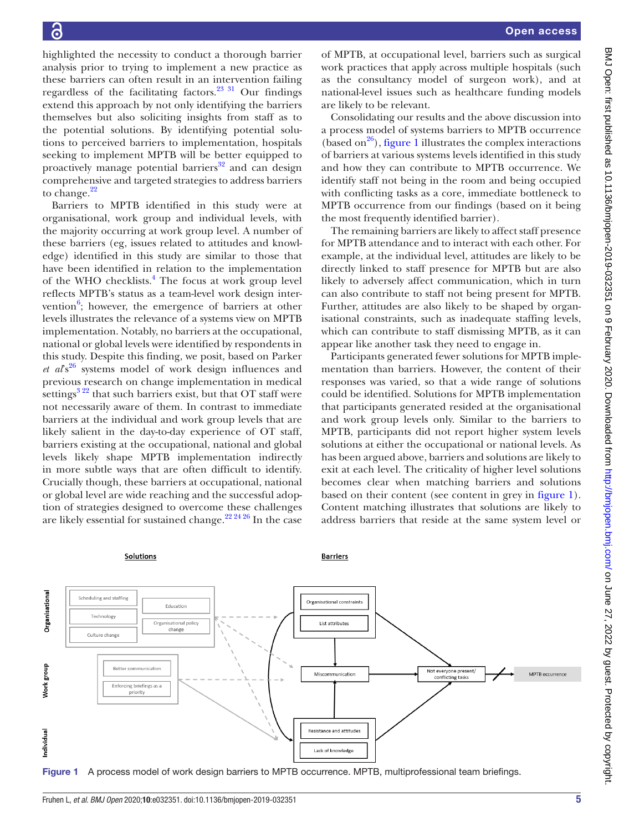highlighted the necessity to conduct a thorough barrier analysis prior to trying to implement a new practice as these barriers can often result in an intervention failing regardless of the facilitating factors.<sup>[23 31](#page-6-22)</sup> Our findings extend this approach by not only identifying the barriers themselves but also soliciting insights from staff as to the potential solutions. By identifying potential solutions to perceived barriers to implementation, hospitals seeking to implement MPTB will be better equipped to proactively manage potential barriers $32$  and can design comprehensive and targeted strategies to address barriers to change.<sup>22</sup>

Barriers to MPTB identified in this study were at organisational, work group and individual levels, with the majority occurring at work group level. A number of these barriers (eg, issues related to attitudes and knowledge) identified in this study are similar to those that have been identified in relation to the implementation of the WHO checklists.<sup>[4](#page-6-21)</sup> The focus at work group level reflects MPTB's status as a team-level work design intervention $6$ ; however, the emergence of barriers at other levels illustrates the relevance of a systems view on MPTB implementation. Notably, no barriers at the occupational, national or global levels were identified by respondents in this study. Despite this finding, we posit, based on Parker *et al*'s[26](#page-6-16) systems model of work design influences and previous research on change implementation in medical settings $3^{22}$  that such barriers exist, but that OT staff were not necessarily aware of them. In contrast to immediate barriers at the individual and work group levels that are likely salient in the day-to-day experience of OT staff, barriers existing at the occupational, national and global levels likely shape MPTB implementation indirectly in more subtle ways that are often difficult to identify. Crucially though, these barriers at occupational, national or global level are wide reaching and the successful adoption of strategies designed to overcome these challenges are likely essential for sustained change.<sup>22 24 26</sup> In the case

of MPTB, at occupational level, barriers such as surgical work practices that apply across multiple hospitals (such as the consultancy model of surgeon work), and at national-level issues such as healthcare funding models are likely to be relevant.

Consolidating our results and the above discussion into a process model of systems barriers to MPTB occurrence (based on<sup>26</sup>), [figure](#page-4-0) 1 illustrates the complex interactions of barriers at various systems levels identified in this study and how they can contribute to MPTB occurrence. We identify staff not being in the room and being occupied with conflicting tasks as a core, immediate bottleneck to MPTB occurrence from our findings (based on it being the most frequently identified barrier).

The remaining barriers are likely to affect staff presence for MPTB attendance and to interact with each other. For example, at the individual level, attitudes are likely to be directly linked to staff presence for MPTB but are also likely to adversely affect communication, which in turn can also contribute to staff not being present for MPTB. Further, attitudes are also likely to be shaped by organisational constraints, such as inadequate staffing levels, which can contribute to staff dismissing MPTB, as it can appear like another task they need to engage in.

Participants generated fewer solutions for MPTB implementation than barriers. However, the content of their responses was varied, so that a wide range of solutions could be identified. Solutions for MPTB implementation that participants generated resided at the organisational and work group levels only. Similar to the barriers to MPTB, participants did not report higher system levels solutions at either the occupational or national levels. As has been argued above, barriers and solutions are likely to exit at each level. The criticality of higher level solutions becomes clear when matching barriers and solutions based on their content (see content in grey in [figure](#page-4-0) 1). Content matching illustrates that solutions are likely to address barriers that reside at the same system level or



<span id="page-4-0"></span>Figure 1 A process model of work design barriers to MPTB occurrence. MPTB, multiprofessional team briefings.

#### **Barriers**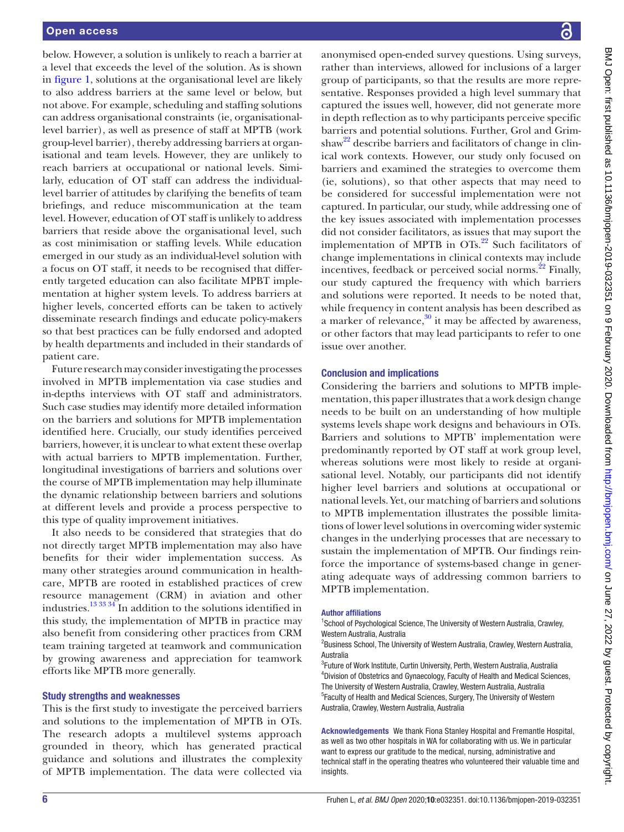below. However, a solution is unlikely to reach a barrier at a level that exceeds the level of the solution. As is shown in [figure](#page-4-0) 1, solutions at the organisational level are likely to also address barriers at the same level or below, but not above. For example, scheduling and staffing solutions can address organisational constraints (ie, organisationallevel barrier), as well as presence of staff at MPTB (work group-level barrier), thereby addressing barriers at organisational and team levels. However, they are unlikely to reach barriers at occupational or national levels. Similarly, education of OT staff can address the individuallevel barrier of attitudes by clarifying the benefits of team briefings, and reduce miscommunication at the team level. However, education of OT staff is unlikely to address barriers that reside above the organisational level, such as cost minimisation or staffing levels. While education emerged in our study as an individual-level solution with a focus on OT staff, it needs to be recognised that differently targeted education can also facilitate MPBT implementation at higher system levels. To address barriers at higher levels, concerted efforts can be taken to actively disseminate research findings and educate policy-makers so that best practices can be fully endorsed and adopted by health departments and included in their standards of patient care.

Future research may consider investigating the processes involved in MPTB implementation via case studies and in-depths interviews with OT staff and administrators. Such case studies may identify more detailed information on the barriers and solutions for MPTB implementation identified here. Crucially, our study identifies perceived barriers, however, it is unclear to what extent these overlap with actual barriers to MPTB implementation. Further, longitudinal investigations of barriers and solutions over the course of MPTB implementation may help illuminate the dynamic relationship between barriers and solutions at different levels and provide a process perspective to this type of quality improvement initiatives.

It also needs to be considered that strategies that do not directly target MPTB implementation may also have benefits for their wider implementation success. As many other strategies around communication in healthcare, MPTB are rooted in established practices of crew resource management (CRM) in aviation and other industries.[13 33 34](#page-6-24) In addition to the solutions identified in this study, the implementation of MPTB in practice may also benefit from considering other practices from CRM team training targeted at teamwork and communication by growing awareness and appreciation for teamwork efforts like MPTB more generally.

## Study strengths and weaknesses

This is the first study to investigate the perceived barriers and solutions to the implementation of MPTB in OTs. The research adopts a multilevel systems approach grounded in theory, which has generated practical guidance and solutions and illustrates the complexity of MPTB implementation. The data were collected via

anonymised open-ended survey questions. Using surveys, rather than interviews, allowed for inclusions of a larger group of participants, so that the results are more representative. Responses provided a high level summary that captured the issues well, however, did not generate more in depth reflection as to why participants perceive specific barriers and potential solutions. Further, Grol and Grimshaw<sup>22</sup> describe barriers and facilitators of change in clinical work contexts. However, our study only focused on barriers and examined the strategies to overcome them (ie, solutions), so that other aspects that may need to be considered for successful implementation were not captured. In particular, our study, while addressing one of the key issues associated with implementation processes did not consider facilitators, as issues that may suport the implementation of MPTB in  $OTs<sup>.22</sup>$  $OTs<sup>.22</sup>$  $OTs<sup>.22</sup>$  Such facilitators of change implementations in clinical contexts may include incentives, feedback or perceived social norms. $^{22}$  Finally, our study captured the frequency with which barriers and solutions were reported. It needs to be noted that, while frequency in content analysis has been described as a marker of relevance, $30$  it may be affected by awareness, or other factors that may lead participants to refer to one issue over another.

#### Conclusion and implications

Considering the barriers and solutions to MPTB implementation, this paper illustrates that a work design change needs to be built on an understanding of how multiple systems levels shape work designs and behaviours in OTs. Barriers and solutions to MPTB' implementation were predominantly reported by OT staff at work group level, whereas solutions were most likely to reside at organisational level. Notably, our participants did not identify higher level barriers and solutions at occupational or national levels. Yet, our matching of barriers and solutions to MPTB implementation illustrates the possible limitations of lower level solutions in overcoming wider systemic changes in the underlying processes that are necessary to sustain the implementation of MPTB. Our findings reinforce the importance of systems-based change in generating adequate ways of addressing common barriers to MPTB implementation.

#### Author affiliations

<sup>1</sup>School of Psychological Science, The University of Western Australia, Crawley, Western Australia, Australia

<sup>2</sup>Business School, The University of Western Australia, Crawley, Western Australia, Australia

<sup>3</sup>Future of Work Institute, Curtin University, Perth, Western Australia, Australia 4 Division of Obstetrics and Gynaecology, Faculty of Health and Medical Sciences, The University of Western Australia, Crawley, Western Australia, Australia <sup>5</sup> Faculty of Health and Medical Sciences, Surgery, The University of Western Australia, Crawley, Western Australia, Australia

Acknowledgements We thank Fiona Stanley Hospital and Fremantle Hospital, as well as two other hospitals in WA for collaborating with us. We in particular want to express our gratitude to the medical, nursing, administrative and technical staff in the operating theatres who volunteered their valuable time and insights.